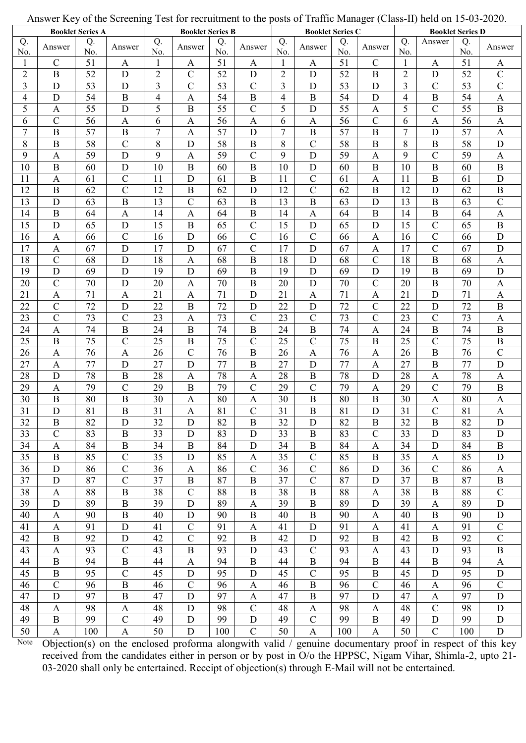|                         | ັ້<br>5.5.5.7.1.1<br><b>Booklet Series A</b> |                 |                           | 1.0011101<br><b>Booklet Series B</b> |                  |                 | $P^{SUS}$ of frame manager (show $H$ )<br><b>Booklet Series C</b> |                          |                |           | 11914 011 10<br>$-0$ $-0$ $\cdot$<br><b>Booklet Series D</b> |                |                  |                 |                           |
|-------------------------|----------------------------------------------|-----------------|---------------------------|--------------------------------------|------------------|-----------------|-------------------------------------------------------------------|--------------------------|----------------|-----------|--------------------------------------------------------------|----------------|------------------|-----------------|---------------------------|
| Q.<br>No.               | Answer                                       | Q.<br>No.       | Answer                    | Q.<br>No.                            | Answer           | Q.<br>No.       | Answer                                                            | Q.<br>No.                | Answer         | Q.<br>No. | Answer                                                       | Q.<br>No.      | Answer           | Q.<br>No.       | Answer                    |
| 1                       | $\mathbf C$                                  | 51              | $\mathbf{A}$              | 1                                    | A                | 51              | $\mathbf{A}$                                                      | 1                        | A              | 51        | $\mathcal{C}$                                                | 1              | $\mathbf{A}$     | 51              | A                         |
| $\sqrt{2}$              | $\bf{B}$                                     | 52              | $\mathbf D$               | $\overline{2}$                       | $\mathbf C$      | 52              | $\mathbf D$                                                       | $\overline{2}$           | D              | 52        | $\mathbf B$                                                  | $\sqrt{2}$     | D                | 52              | $\mathcal{C}$             |
| $\mathfrak{Z}$          | D                                            | 53              | $\mathbf D$               | $\overline{3}$                       | $\mathcal{C}$    | 53              | $\mathcal{C}$                                                     | $\mathfrak{Z}$           | D              | 53        | $\mathbf D$                                                  | 3              | $\mathbf C$      | 53              | $\mathcal{C}$             |
| $\overline{\mathbf{4}}$ | D                                            | 54              | $\, {\bf B}$              | 4                                    | A                | 54              | $\, {\bf B}$                                                      | $\overline{\mathcal{L}}$ | $\mathbf B$    | 54        | D                                                            | $\overline{4}$ | $\, {\bf B}$     | 54              | $\mathbf{A}$              |
| 5                       | A                                            | 55              | $\mathbf D$               | 5                                    | B                | 55              | $\mathbf C$                                                       | 5                        | D              | 55        | $\boldsymbol{A}$                                             | 5              | $\mathbf C$      | 55              | $\bf{B}$                  |
| 6                       | $\mathcal{C}$                                | 56              | $\mathbf{A}$              | 6                                    | $\mathbf{A}$     | 56              | $\mathbf{A}$                                                      | 6                        | $\mathbf{A}$   | 56        | $\mathbf C$                                                  | 6              | $\mathbf{A}$     | 56              | $\mathbf{A}$              |
| $\tau$                  | $\bf{B}$                                     | 57              | $\, {\bf B}$              | $\overline{7}$                       | $\mathbf{A}$     | 57              | $\mathbf D$                                                       | $\overline{7}$           | $\mathbf B$    | 57        | $\, {\bf B}$                                                 | 7              | $\mathbf D$      | $\overline{57}$ | $\mathbf{A}$              |
| $8\,$                   | $\, {\bf B}$                                 | 58              | $\overline{C}$            | 8                                    | D                | 58              | $\overline{B}$                                                    | 8                        | $\overline{C}$ | 58        | $\overline{B}$                                               | $8\,$          | $\, {\bf B}$     | 58              | ${\bf D}$                 |
| 9                       | A                                            | 59              | D                         | 9                                    | A                | 59              | $\overline{C}$                                                    | 9                        | D              | 59        | $\boldsymbol{\mathsf{A}}$                                    | 9              | $\mathcal{C}$    | 59              | $\mathbf{A}$              |
| 10                      | $\bf{B}$                                     | 60              | D                         | 10                                   | B                | 60              | $\bf{B}$                                                          | 10                       | D              | 60        | B                                                            | 10             | $\bf{B}$         | 60              | $\, {\bf B}$              |
| 11                      | $\mathbf{A}$                                 | 61              | $\mathcal{C}$             | 11                                   | D                | 61              | $\bf{B}$                                                          | 11                       | $\mathcal{C}$  | 61        | $\mathbf{A}$                                                 | 11             | $\mathbf B$      | 61              | ${\bf D}$                 |
| 12                      | $\, {\bf B}$                                 | 62              | $\mathcal{C}$             | 12                                   | $\boldsymbol{B}$ | 62              | D                                                                 | 12                       | $\mathcal{C}$  | 62        | $\boldsymbol{B}$                                             | 12             | D                | 62              | $\, {\bf B}$              |
| 13                      | $\mathbf D$                                  | 63              | $\, {\bf B}$              | 13                                   | $\mathcal{C}$    | 63              | $\bf{B}$                                                          | 13                       | $\mathbf B$    | 63        | $\mathbf D$                                                  | 13             | $\mathbf B$      | 63              | $\overline{C}$            |
| 14                      | $\, {\bf B}$                                 | 64              | A                         | 14                                   | A                | 64              | $\, {\bf B}$                                                      | 14                       | A              | 64        | $\mathbf B$                                                  | 14             | $\, {\bf B}$     | 64              | $\mathbf{A}$              |
| 15                      | D                                            | 65              | $\mathbf D$               | 15                                   | B                | 65              | $\mathcal{C}$                                                     | 15                       | D              | 65        | $\mathbf D$                                                  | 15             | $\mathcal{C}$    | 65              | $\, {\bf B}$              |
| 16                      | $\mathbf{A}$                                 | 66              | $\mathcal{C}$             | 16                                   | D                | 66              | $\mathcal{C}$                                                     | 16                       | $\mathcal{C}$  | 66        | $\mathbf{A}$                                                 | 16             | $\mathbf C$      | 66              | D                         |
| 17                      | $\mathbf{A}$                                 | 67              | $\mathbf D$               | 17                                   | D                | 67              | $\overline{C}$                                                    | 17                       | D              | 67        | $\mathbf{A}$                                                 | 17             | $\mathcal{C}$    | 67              | D                         |
| 18                      | $\overline{C}$                               | 68              | $\mathbf D$               | 18                                   | $\mathbf{A}$     | 68              | $\, {\bf B}$                                                      | 18                       | D              | 68        | $\mathcal{C}$                                                | 18             | $\mathbf B$      | 68              | $\mathbf{A}$              |
| 19                      | D                                            | 69              | D                         | 19                                   | D                | 69              | $\mathbf{B}$                                                      | 19                       | D              | 69        | $\mathbf D$                                                  | 19             | $\mathbf{B}$     | 69              | $\mathbf D$               |
| 20                      | $\mathcal{C}$                                | 70              | D                         | 20                                   | $\mathbf{A}$     | 70              | $\bf{B}$                                                          | 20                       | D              | 70        | $\mathcal{C}$                                                | 20             | $\bf{B}$         | 70              | $\mathbf{A}$              |
| 21                      | $\mathbf{A}$                                 | 71              | $\mathbf{A}$              | 21                                   | $\mathbf{A}$     | 71              | D                                                                 | 21                       | $\mathbf{A}$   | 71        | $\mathbf{A}$                                                 | 21             | D                | 71              | $\mathbf{A}$              |
| 22                      | $\overline{C}$                               | $\overline{72}$ | $\mathbf D$               | 22                                   | $\overline{B}$   | 72              | D                                                                 | 22                       | $\mathbf D$    | 72        | $\overline{C}$                                               | 22             | $\mathbf D$      | $\overline{72}$ | $\mathbf B$               |
| 23                      | $\overline{C}$                               | 73              | $\overline{C}$            | 23                                   | A                | 73              | $\mathcal{C}$                                                     | 23                       | $\mathcal{C}$  | 73        | $\overline{C}$                                               | 23             | $\mathcal{C}$    | 73              | $\mathbf{A}$              |
| 24                      | $\boldsymbol{\mathsf{A}}$                    | 74              | $\, {\bf B}$              | 24                                   | B                | 74              | $\mathbf B$                                                       | 24                       | $\mathbf B$    | 74        | $\mathbf{A}$                                                 | 24             | $\bf{B}$         | 74              | $\mathbf B$               |
| 25                      | $\boldsymbol{B}$                             | 75              | $\mathcal{C}$             | 25                                   | $\boldsymbol{B}$ | 75              | $\mathcal{C}$                                                     | 25                       | $\mathcal{C}$  | 75        | $\boldsymbol{B}$                                             | 25             | $\mathcal{C}$    | 75              | $\, {\bf B}$              |
| 26                      | $\mathbf{A}$                                 | 76              | $\mathbf{A}$              | 26                                   | $\mathcal{C}$    | 76              | $\, {\bf B}$                                                      | 26                       | $\mathbf{A}$   | 76        | $\mathbf{A}$                                                 | 26             | $\bf{B}$         | 76              | $\overline{C}$            |
| 27                      | $\mathbf{A}$                                 | 77              | $\mathbf D$               | 27                                   | D                | 77              | $\overline{B}$                                                    | 27                       | D              | 77        | $\mathbf{A}$                                                 | 27             | $\mathbf B$      | 77              | D                         |
| 28                      | $\mathbf D$                                  | 78              | $\, {\bf B}$              | 28                                   | $\mathbf{A}$     | 78              | $\mathbf{A}$                                                      | 28                       | $\mathbf B$    | 78        | $\mathbf D$                                                  | 28             | $\mathbf{A}$     | 78              | $\mathbf{A}$              |
| 29                      | A                                            | 79              | $\mathcal{C}$             | 29                                   | $\mathbf B$      | 79              | $\mathcal{C}$                                                     | 29                       | $\mathcal{C}$  | 79        | $\mathbf{A}$                                                 | 29             | $\mathcal{C}$    | 79              | $\, {\bf B}$              |
| 30                      | $\boldsymbol{B}$                             | 80              | $\boldsymbol{B}$          | 30                                   | A                | 80              | $\mathbf{A}$                                                      | 30                       | $\, {\bf B}$   | 80        | $\boldsymbol{B}$                                             | 30             | A                | 80              | A                         |
| 31                      | $\mathbf D$                                  | 81              | $\, {\bf B}$              | 31                                   | $\mathbf{A}$     | $\overline{81}$ | $\overline{C}$                                                    | 31                       | $\mathbf B$    | 81        | $\overline{D}$                                               | 31             | $\overline{C}$   | 81              | $\mathbf{A}$              |
| 32                      | $\bf{B}$                                     | 82              | D                         | 32                                   | D                | 82              | $\boldsymbol{B}$                                                  | 32                       | D              | 82        | $\bf{B}$                                                     | 32             | B                | 82              | D                         |
| 33                      | $\overline{C}$                               | 83              | $\mathbf B$               | 33                                   | D                | 83              | $\mathbf D$                                                       | 33                       | $\mathbf B$    | 83        | $\overline{C}$                                               | 33             | D                | 83              | $\mathbf D$               |
| 34                      | $\mathbf{A}$                                 | 84              | $\, {\bf B}$              | 34                                   | $\, {\bf B}$     | 84              | D                                                                 | 34                       | $\, {\bf B}$   | 84        | $\mathbf A$                                                  | 34             | D                | 84              | $\bf{B}$                  |
| 35                      | $\bf{B}$                                     | 85              | $\mathcal{C}$             | 35                                   | D                | 85              | $\mathbf{A}$                                                      | 35                       | $\mathcal{C}$  | 85        | $\, {\bf B}$                                                 | 35             | A                | 85              | $\mathbf D$               |
| 36                      | D                                            | 86              | $\mathbf C$               | 36                                   | A                | 86              | $\mathbf C$                                                       | 36                       | $\mathbf C$    | 86        | $\mathbf D$                                                  | 36             | $\mathbf C$      | 86              | A                         |
| 37                      | $\mathbf D$                                  | 87              | $\overline{C}$            | 37                                   | $\bf{B}$         | 87              | $\mathbf B$                                                       | 37                       | $\mathbf C$    | 87        | D                                                            | 37             | $\bf{B}$         | 87              | $\bf{B}$                  |
| 38                      | $\mathbf{A}$                                 | 88              | $\, {\bf B}$              | 38                                   | $\mathbf C$      | 88              | $\mathbf B$                                                       | 38                       | B              | 88        | $\mathbf{A}$                                                 | 38             | $\bf{B}$         | 88              | $\mathbf C$               |
| 39                      | $\mathbf D$                                  | 89              | $\, {\bf B}$              | 39                                   | D                | 89              | $\mathbf{A}$                                                      | 39                       | $\mathbf B$    | 89        | $\mathbf D$                                                  | 39             | $\boldsymbol{A}$ | 89              | $\mathbf D$               |
| 40                      | A                                            | 90              | B                         | 40                                   | D                | 90              | $\bf{B}$                                                          | 40                       | B              | 90        | A                                                            | 40             | $\bf{B}$         | 90              | ${\bf D}$                 |
| 41                      | $\mathbf{A}$                                 | 91              | $\mathbf D$               | 41                                   | $\mathcal{C}$    | 91              | A                                                                 | 41                       | $\mathbf D$    | 91        | $\mathbf{A}$                                                 | 41             | $\mathbf{A}$     | 91              | $\mathsf{C}$              |
| 42                      | $\, {\bf B}$                                 | 92              | $\mathbf D$               | 42                                   | $\mathbf C$      | 92              | $\, {\bf B}$                                                      | 42                       | $\mathbf D$    | 92        | $\, {\bf B}$                                                 | 42             | $\mathbf B$      | 92              | $\mathcal{C}$             |
| 43                      | $\mathbf{A}$                                 | 93              | $\mathcal{C}$             | 43                                   | $\mathbf B$      | 93              | D                                                                 | 43                       | $\mathbf C$    | 93        | $\mathbf{A}$                                                 | 43             | D                | 93              | $\, {\bf B}$              |
| 44                      | $\, {\bf B}$                                 | 94              | $\, {\bf B}$              | 44                                   | $\mathbf{A}$     | 94              | $\, {\bf B}$                                                      | 44                       | $\, {\bf B}$   | 94        | $\, {\bf B}$                                                 | 44             | $\, {\bf B}$     | 94              | $\boldsymbol{\mathsf{A}}$ |
| 45                      | $\bf{B}$                                     | 95              | $\mathcal{C}$             | 45                                   | D                | 95              | $\mathbf D$                                                       | 45                       | $\mathcal{C}$  | 95        | $\mathbf B$                                                  | 45             | D                | 95              | $\mathbf D$               |
| 46                      | $\mathbf C$                                  | 96              | $\, {\bf B}$              | 46                                   | $\mathcal{C}$    | 96              | $\mathbf{A}$                                                      | 46                       | $\mathbf B$    | 96        | $\mathbf C$                                                  | 46             | $\mathbf{A}$     | 96              | $\mathcal{C}$             |
| 47                      | $\mathbf D$                                  | 97              | $\, {\bf B}$              | 47                                   | D                | 97              | $\mathbf{A}$                                                      | 47                       | $\mathbf B$    | 97        | D                                                            | 47             | $\mathbf{A}$     | 97              | $\mathbf D$               |
| 48                      | $\mathbf{A}$                                 | 98              | $\mathbf{A}$              | 48                                   | D                | 98              | $\mathbf C$                                                       | 48                       | $\mathbf{A}$   | 98        | $\mathbf{A}$                                                 | 48             | $\mathbf C$      | 98              | $\mathbf D$               |
| 49                      | $\bf{B}$                                     | 99              | $\mathcal{C}$             | 49                                   | D                | 99              | D                                                                 | 49                       | $\mathcal{C}$  | 99        | $\mathbf B$                                                  | 49             | D                | 99              | ${\bf D}$                 |
| 50                      | $\boldsymbol{\mathsf{A}}$                    | 100             | $\boldsymbol{\mathsf{A}}$ | 50                                   | D                | 100             | $\mathcal{C}$                                                     | 50                       | A              | 100       | $\boldsymbol{\mathsf{A}}$                                    | 50             | $\mathcal{C}$    | 100             | ${\bf D}$                 |

Answer Key of the Screening Test for recruitment to the posts of Traffic Manager (Class-II) held on 15-03-2020.

Objection(s) on the enclosed proforma alongwith valid / genuine documentary proof in respect of this key Note received from the candidates either in person or by post in O/o the HPPSC, Nigam Vihar, Shimla-2, upto 21-03-2020 shall only be entertained. Receipt of objection(s) through E-Mail will not be entertained.